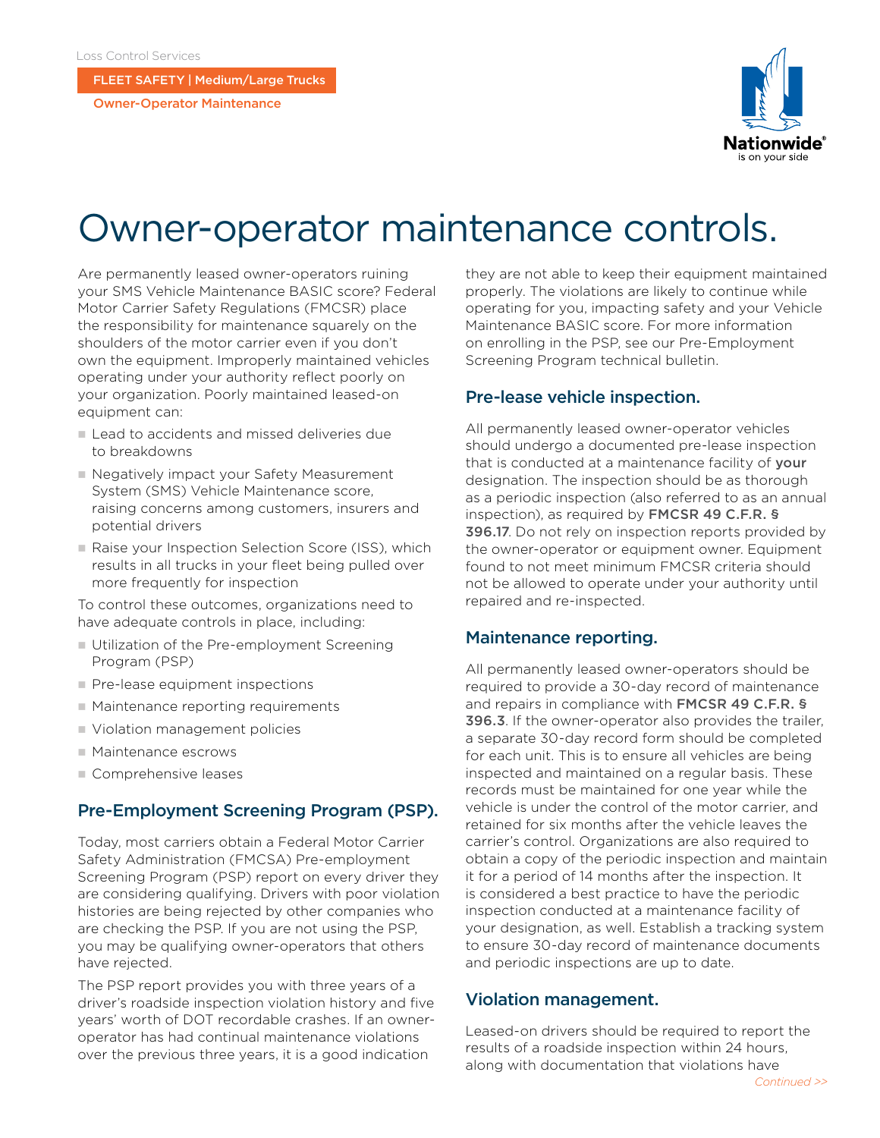FLEET SAFETY | Medium/Large Trucks

Owner-Operator Maintenance



# Owner-operator maintenance controls.

Are permanently leased owner-operators ruining your SMS Vehicle Maintenance BASIC score? Federal Motor Carrier Safety Regulations (FMCSR) place the responsibility for maintenance squarely on the shoulders of the motor carrier even if you don't own the equipment. Improperly maintained vehicles operating under your authority reflect poorly on your organization. Poorly maintained leased-on equipment can:

- Lead to accidents and missed deliveries due to breakdowns
- Negatively impact your Safety Measurement System (SMS) Vehicle Maintenance score, raising concerns among customers, insurers and potential drivers
- Raise your Inspection Selection Score (ISS), which results in all trucks in your fleet being pulled over more frequently for inspection

To control these outcomes, organizations need to have adequate controls in place, including:

- Utilization of the Pre-employment Screening Program (PSP)
- $\blacksquare$  Pre-lease equipment inspections
- $\blacksquare$  Maintenance reporting requirements
- Violation management policies
- Maintenance escrows
- **n** Comprehensive leases

## Pre-Employment Screening Program (PSP).

Today, most carriers obtain a Federal Motor Carrier Safety Administration (FMCSA) Pre-employment Screening Program (PSP) report on every driver they are considering qualifying. Drivers with poor violation histories are being rejected by other companies who are checking the PSP. If you are not using the PSP, you may be qualifying owner-operators that others have rejected.

The PSP report provides you with three years of a driver's roadside inspection violation history and five years' worth of DOT recordable crashes. If an owneroperator has had continual maintenance violations over the previous three years, it is a good indication

they are not able to keep their equipment maintained properly. The violations are likely to continue while operating for you, impacting safety and your Vehicle Maintenance BASIC score. For more information on enrolling in the PSP, see our Pre-Employment Screening Program technical bulletin.

#### Pre-lease vehicle inspection.

All permanently leased owner-operator vehicles should undergo a documented pre-lease inspection that is conducted at a maintenance facility of **your** designation. The inspection should be as thorough as a periodic inspection (also referred to as an annual inspection), as required by [FMCSR 49 C.F.R. §](https://www.ecfr.gov/cgi-bin/retrieveECFR?gp=1&ty=HTML&h=L&mc=true&=PART&n=pt49.5.396#se49.5.396_117)  [396.17](https://www.ecfr.gov/cgi-bin/retrieveECFR?gp=1&ty=HTML&h=L&mc=true&=PART&n=pt49.5.396#se49.5.396_117). Do not rely on inspection reports provided by the owner-operator or equipment owner. Equipment found to not meet minimum FMCSR criteria should not be allowed to operate under your authority until repaired and re-inspected.

#### Maintenance reporting.

All permanently leased owner-operators should be required to provide a 30-day record of maintenance and repairs in compliance with FMCSR 49 C.F.R. § 396.3. If the owner-operator also provides the trailer, a separate 30-day record form should be completed for each unit. This is to ensure all vehicles are being inspected and maintained on a regular basis. These records must be maintained for one year while the vehicle is under the control of the motor carrier, and retained for six months after the vehicle leaves the carrier's control. Organizations are also required to obtain a copy of the periodic inspection and maintain it for a period of 14 months after the inspection. It is considered a best practice to have the periodic inspection conducted at a maintenance facility of your designation, as well. Establish a tracking system to ensure 30-day record of maintenance documents and periodic inspections are up to date.

## Violation management.

Leased-on drivers should be required to report the results of a roadside inspection within 24 hours, along with documentation that violations have